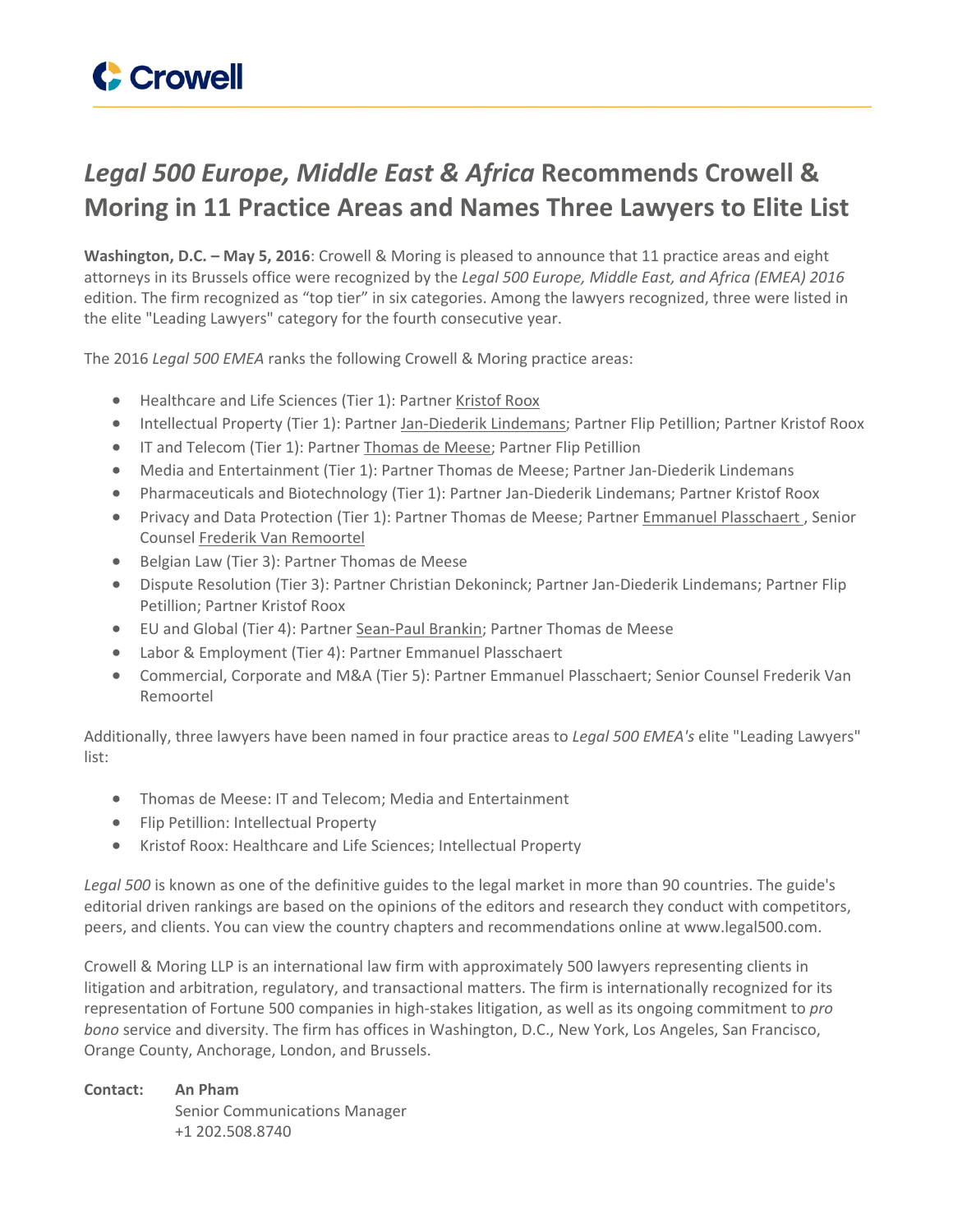

## *Legal 500 Europe, Middle East & Africa* **Recommends Crowell & Moring in 11 Practice Areas and Names Three Lawyers to Elite List**

**Washington, D.C. – May 5, 2016**: Crowell & Moring is pleased to announce that 11 practice areas and eight attorneys in its Brussels office were recognized by the *Legal 500 Europe, Middle East, and Africa (EMEA) 2016* edition. The firm recognized as "top tier" in six categories. Among the lawyers recognized, three were listed in the elite "Leading Lawyers" category for the fourth consecutive year.

The 2016 *Legal 500 EMEA* ranks the following Crowell & Moring practice areas:

- Healthcare and Life Sciences (Tier 1): Partner [Kristof](https://www.crowell.com/Professionals/Kristof-Roox) Roox
- Intellectual Property (Tier 1): Partner [Jan-Diederik](https://www.crowell.com/Professionals/Jan-Diederik-Lindemans) Lindemans; Partner Flip Petillion; Partner Kristof Roox
- IT and Telecom (Tier 1): Partner [Thomas](https://www.crowell.com/Professionals/Thomas-De-Meese) de Meese; Partner Flip Petillion
- Media and Entertainment (Tier 1): Partner Thomas de Meese; Partner Jan-Diederik Lindemans
- Pharmaceuticals and Biotechnology (Tier 1): Partner Jan-Diederik Lindemans; Partner Kristof Roox
- Privacy and Data Protection (Tier 1): Partner Thomas de Meese; Partner Emmanuel [Plasschaert](https://www.crowell.com/Professionals/Emmanuel-Plasschaert) , Senior Counsel Frederik Van [Remoortel](https://www.crowell.com/Professionals/Frederik-Van-Remoortel)
- Belgian Law (Tier 3): Partner Thomas de Meese
- Dispute Resolution (Tier 3): Partner Christian Dekoninck; Partner Jan-Diederik Lindemans; Partner Flip Petillion; Partner Kristof Roox
- EU and Global (Tier 4): Partner [Sean-Paul](https://www.crowell.com/Professionals/Sean-Paul-Brankin) Brankin; Partner Thomas de Meese
- Labor & Employment (Tier 4): Partner Emmanuel Plasschaert
- Commercial, Corporate and M&A (Tier 5): Partner Emmanuel Plasschaert; Senior Counsel Frederik Van Remoortel

Additionally, three lawyers have been named in four practice areas to *Legal 500 EMEA's* elite "Leading Lawyers" list:

- Thomas de Meese: IT and Telecom; Media and Entertainment
- Flip Petillion: Intellectual Property
- Kristof Roox: Healthcare and Life Sciences; Intellectual Property

*Legal 500* is known as one of the definitive guides to the legal market in more than 90 countries. The guide's editorial driven rankings are based on the opinions of the editors and research they conduct with competitors, peers, and clients. You can view the country chapters and recommendations online at www.legal500.com.

Crowell & Moring LLP is an international law firm with approximately 500 lawyers representing clients in litigation and arbitration, regulatory, and transactional matters. The firm is internationally recognized for its representation of Fortune 500 companies in high-stakes litigation, as well as its ongoing commitment to *pro bono* service and diversity. The firm has offices in Washington, D.C., New York, Los Angeles, San Francisco, Orange County, Anchorage, London, and Brussels.

**Contact: An Pham** Senior Communications Manager +1 202.508.8740